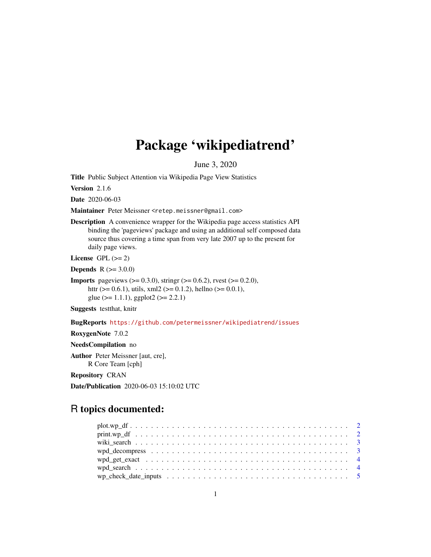# Package 'wikipediatrend'

June 3, 2020

Title Public Subject Attention via Wikipedia Page View Statistics

Version 2.1.6

Date 2020-06-03

Maintainer Peter Meissner <retep.meissner@gmail.com>

Description A convenience wrapper for the Wikipedia page access statistics API binding the 'pageviews' package and using an additional self composed data source thus covering a time span from very late 2007 up to the present for daily page views.

License GPL  $(>= 2)$ 

**Depends** R  $(>= 3.0.0)$ 

**Imports** pageviews  $(>= 0.3.0)$ , string  $(>= 0.6.2)$ , rvest  $(>= 0.2.0)$ , httr ( $> = 0.6.1$ ), utils, xml2 ( $> = 0.1.2$ ), hellno ( $> = 0.0.1$ ), glue ( $>= 1.1.1$ ), ggplot2 ( $>= 2.2.1$ )

Suggests testthat, knitr

BugReports <https://github.com/petermeissner/wikipediatrend/issues>

RoxygenNote 7.0.2

NeedsCompilation no

Author Peter Meissner [aut, cre], R Core Team [cph]

Repository CRAN

Date/Publication 2020-06-03 15:10:02 UTC

# R topics documented:

| wp_check_date_inputs $\dots \dots \dots \dots \dots \dots \dots \dots \dots \dots \dots \dots \dots \dots \dots$ |  |
|------------------------------------------------------------------------------------------------------------------|--|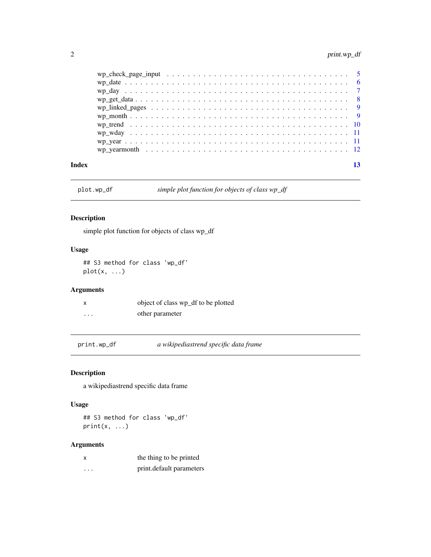<span id="page-1-0"></span>

| wp yearmonth $\ldots \ldots \ldots \ldots \ldots \ldots \ldots \ldots \ldots \ldots \ldots \ldots \ldots$ |  |
|-----------------------------------------------------------------------------------------------------------|--|
|                                                                                                           |  |
|                                                                                                           |  |
|                                                                                                           |  |
|                                                                                                           |  |
|                                                                                                           |  |
|                                                                                                           |  |
|                                                                                                           |  |
|                                                                                                           |  |
|                                                                                                           |  |

plot.wp\_df *simple plot function for objects of class wp\_df*

# Description

simple plot function for objects of class wp\_df

# Usage

## S3 method for class 'wp\_df' plot(x, ...)

# Arguments

| X        | object of class wp_df to be plotted |
|----------|-------------------------------------|
| $\cdots$ | other parameter                     |

print.wp\_df *a wikipediastrend specific data frame*

# Description

a wikipediastrend specific data frame

# Usage

## S3 method for class 'wp\_df'  $print(x, \ldots)$ 

| x | the thing to be printed  |
|---|--------------------------|
| . | print.default parameters |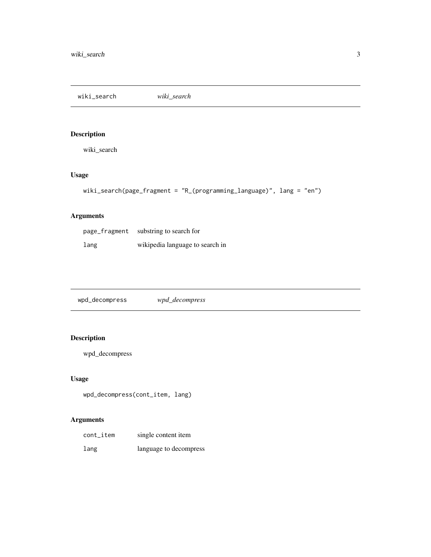<span id="page-2-0"></span>wiki\_search *wiki\_search*

# Description

wiki\_search

# Usage

```
wiki_search(page_fragment = "R_(programming_language)", lang = "en")
```
# Arguments

| page_fragment | substring to search for         |
|---------------|---------------------------------|
| lang          | wikipedia language to search in |

wpd\_decompress *wpd\_decompress*

# Description

wpd\_decompress

# Usage

wpd\_decompress(cont\_item, lang)

| cont_item | single content item    |
|-----------|------------------------|
| lang      | language to decompress |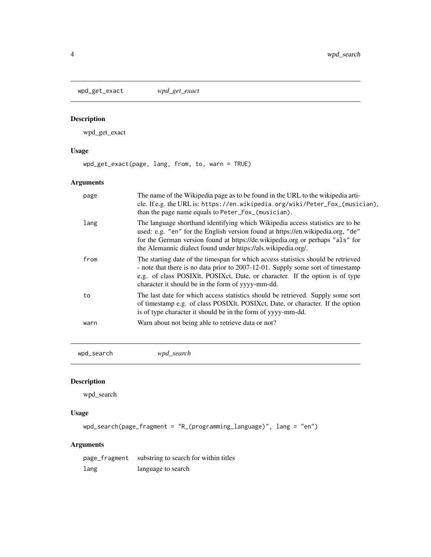<span id="page-3-0"></span>wpd\_get\_exact *wpd\_get\_exact*

# Description

wpd\_get\_exact

# Usage

wpd\_get\_exact(page, lang, from, to, warn = TRUE)

# Arguments

| page | The name of the Wikipedia page as to be found in the URL to the wikipedia arti-<br>cle. If e.g. the URL is: https://en.wikipedia.org/wiki/Peter_Fox_(musician),<br>than the page name equals to Peter_Fox_(musician).                                                                                               |
|------|---------------------------------------------------------------------------------------------------------------------------------------------------------------------------------------------------------------------------------------------------------------------------------------------------------------------|
| lang | The language shorthand identifying which Wikipedia access statistics are to be<br>used: e.g. "en" for the English version found at https://en.wikipedia.org, "de"<br>for the German version found at https://de.wikipedia.org or perhaps "als" for<br>the Alemannic dialect found under https://als.wikipedia.org/. |
| from | The starting date of the timespan for which access statistics should be retrieved<br>- note that there is no data prior to 2007-12-01. Supply some sort of timestamp<br>e.g. of class POSIXIt, POSIX et, Date, or character. If the option is of type<br>character it should be in the form of yyyy-mm-dd.          |
| to   | The last date for which access statistics should be retrieved. Supply some sort<br>of timestamp e.g. of class POSIXIt, POSIXct, Date, or character. If the option<br>is of type character it should be in the form of yyyy-mm-dd.                                                                                   |
| warn | Warn about not being able to retrieve data or not?                                                                                                                                                                                                                                                                  |

wpd\_search *wpd\_search*

# Description

wpd\_search

# Usage

```
wpd_search(page_fragment = "R_(programming_language)", lang = "en")
```
# Arguments

page\_fragment substring to search for within titles lang language to search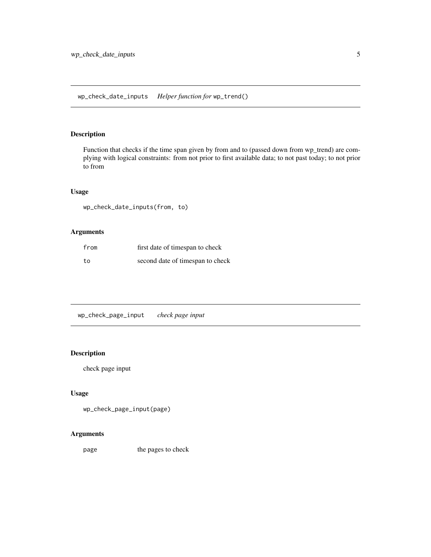<span id="page-4-0"></span>Function that checks if the time span given by from and to (passed down from wp\_trend) are complying with logical constraints: from not prior to first available data; to not past today; to not prior to from

# Usage

wp\_check\_date\_inputs(from, to)

# Arguments

| from | first date of timespan to check  |
|------|----------------------------------|
| to.  | second date of timespan to check |

wp\_check\_page\_input *check page input*

# Description

check page input

#### Usage

```
wp_check_page_input(page)
```
### Arguments

page the pages to check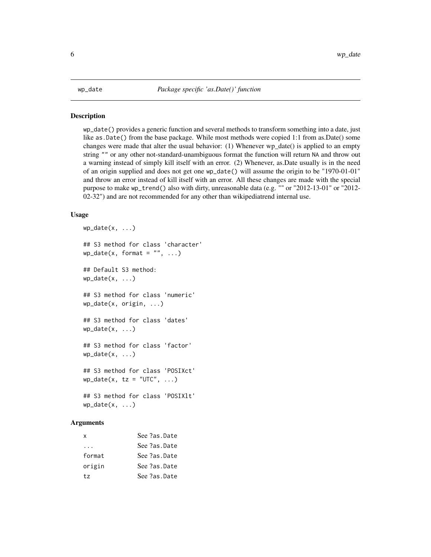<span id="page-5-0"></span>wp\_date() provides a generic function and several methods to transform something into a date, just like as.Date() from the base package. While most methods were copied 1:1 from as.Date() some changes were made that alter the usual behavior: (1) Whenever wp\_date() is applied to an empty string "" or any other not-standard-unambiguous format the function will return NA and throw out a warning instead of simply kill itself with an error. (2) Whenever, as.Date usually is in the need of an origin supplied and does not get one wp\_date() will assume the origin to be "1970-01-01" and throw an error instead of kill itself with an error. All these changes are made with the special purpose to make wp\_trend() also with dirty, unreasonable data (e.g. "" or "2012-13-01" or "2012- 02-32") and are not recommended for any other than wikipediatrend internal use.

#### Usage

```
wp\_date(x, \ldots)## S3 method for class 'character'
wp\_date(x, format = "", ...)## Default S3 method:
wp\_date(x, \ldots)## S3 method for class 'numeric'
wp_date(x, origin, ...)
## S3 method for class 'dates'
wp\_date(x, \ldots)## S3 method for class 'factor'
wp\_date(x, \ldots)## S3 method for class 'POSIXct'
wp\_date(x, tz = "UTC", ...)## S3 method for class 'POSIXlt'
wp\_date(x, \ldots)
```

| x        | See ?as.Date |
|----------|--------------|
| $\cdots$ | See ?as.Date |
| format   | See ?as.Date |
| origin   | See ?as.Date |
| tz.      | See ?as.Date |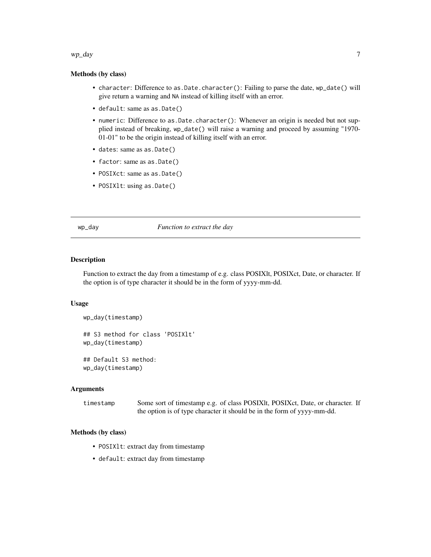#### <span id="page-6-0"></span> $wp\_day$   $\qquad \qquad$  7

#### Methods (by class)

- character: Difference to as.Date.character(): Failing to parse the date, wp\_date() will give return a warning and NA instead of killing itself with an error.
- default: same as as.Date()
- numeric: Difference to as.Date.character(): Whenever an origin is needed but not supplied instead of breaking, wp\_date() will raise a warning and proceed by assuming "1970- 01-01" to be the origin instead of killing itself with an error.
- dates: same as as.Date()
- factor: same as as.Date()
- POSIXct: same as as.Date()
- POSIXlt: using as.Date()

#### wp\_day *Function to extract the day*

### **Description**

Function to extract the day from a timestamp of e.g. class POSIXlt, POSIXct, Date, or character. If the option is of type character it should be in the form of yyyy-mm-dd.

#### Usage

```
wp_day(timestamp)
```
## S3 method for class 'POSIXlt' wp\_day(timestamp)

## Default S3 method: wp\_day(timestamp)

#### Arguments

timestamp Some sort of timestamp e.g. of class POSIXIt, POSIXct, Date, or character. If the option is of type character it should be in the form of yyyy-mm-dd.

#### Methods (by class)

- POSIXlt: extract day from timestamp
- default: extract day from timestamp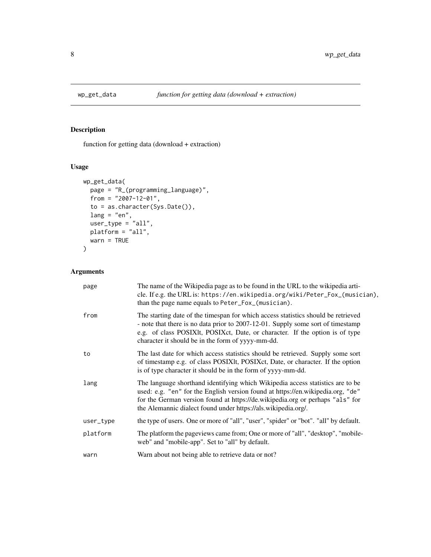<span id="page-7-0"></span>

function for getting data (download + extraction)

# Usage

```
wp_get_data(
 page = "R_(programming_language)",
 from = "2007-12-01",
 to = as.character(Sys.Date()),
 lang = "en",user_type = "all",
 platform = "all",
 warn = TRUE
)
```

| page      | The name of the Wikipedia page as to be found in the URL to the wikipedia arti-<br>cle. If e.g. the URL is: https://en.wikipedia.org/wiki/Peter_Fox_(musician),<br>than the page name equals to Peter_Fox_(musician).                                                                                               |
|-----------|---------------------------------------------------------------------------------------------------------------------------------------------------------------------------------------------------------------------------------------------------------------------------------------------------------------------|
| from      | The starting date of the timespan for which access statistics should be retrieved<br>- note that there is no data prior to 2007-12-01. Supply some sort of timestamp<br>e.g. of class POSIXIt, POSIXct, Date, or character. If the option is of type<br>character it should be in the form of yyyy-mm-dd.           |
| to        | The last date for which access statistics should be retrieved. Supply some sort<br>of timestamp e.g. of class POSIXlt, POSIXct, Date, or character. If the option<br>is of type character it should be in the form of yyyy-mm-dd.                                                                                   |
| lang      | The language shorthand identifying which Wikipedia access statistics are to be<br>used: e.g. "en" for the English version found at https://en.wikipedia.org, "de"<br>for the German version found at https://de.wikipedia.org or perhaps "als" for<br>the Alemannic dialect found under https://als.wikipedia.org/. |
| user_type | the type of users. One or more of "all", "user", "spider" or "bot". "all" by default.                                                                                                                                                                                                                               |
| platform  | The platform the pageviews came from; One or more of "all", "desktop", "mobile-<br>web" and "mobile-app". Set to "all" by default.                                                                                                                                                                                  |
| warn      | Warn about not being able to retrieve data or not?                                                                                                                                                                                                                                                                  |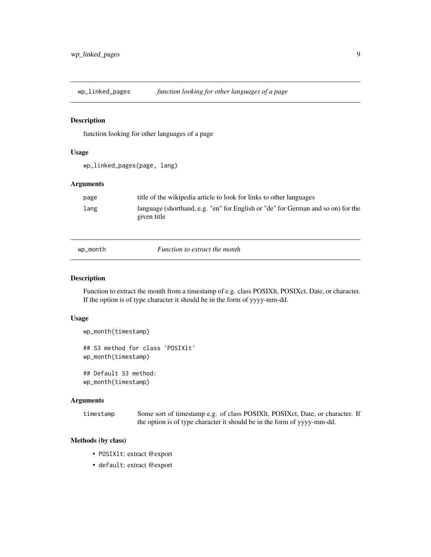<span id="page-8-0"></span>wp\_linked\_pages *function looking for other languages of a page*

#### Description

function looking for other languages of a page

#### Usage

wp\_linked\_pages(page, lang)

#### Arguments

| page | title of the wikipedia article to look for links to other languages                             |
|------|-------------------------------------------------------------------------------------------------|
| lang | language (shorthand, e.g. "en" for English or "de" for German and so on) for the<br>given title |

wp\_month *Function to extract the month*

#### Description

Function to extract the month from a timestamp of e.g. class POSIXlt, POSIXct, Date, or character. If the option is of type character it should be in the form of yyyy-mm-dd.

#### Usage

```
wp_month(timestamp)
## S3 method for class 'POSIXlt'
wp_month(timestamp)
## Default S3 method:
wp_month(timestamp)
```
#### Arguments

timestamp Some sort of timestamp e.g. of class POSIXlt, POSIXct, Date, or character. If the option is of type character it should be in the form of yyyy-mm-dd.

# Methods (by class)

- POSIXlt: extract @export
- default: extract @export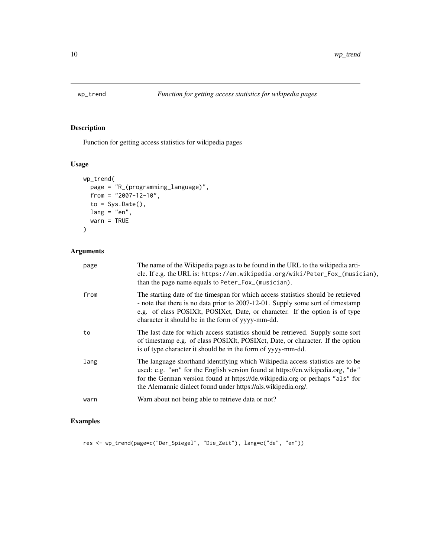<span id="page-9-0"></span>

Function for getting access statistics for wikipedia pages

# Usage

```
wp_trend(
  page = "R_(programming_language)",
  from = "2007-12-10",
  to = Sys.<b>Date()</b>,lang = "en",warn = TRUE
)
```
# Arguments

| page | The name of the Wikipedia page as to be found in the URL to the wikipedia arti-<br>cle. If e.g. the URL is: https://en.wikipedia.org/wiki/Peter_Fox_(musician),<br>than the page name equals to Peter_Fox_(musician).                                                                                               |
|------|---------------------------------------------------------------------------------------------------------------------------------------------------------------------------------------------------------------------------------------------------------------------------------------------------------------------|
| from | The starting date of the timespan for which access statistics should be retrieved<br>- note that there is no data prior to 2007-12-01. Supply some sort of timestamp<br>e.g. of class POSIXIt, POSIXct, Date, or character. If the option is of type<br>character it should be in the form of yyyy-mm-dd.           |
| to   | The last date for which access statistics should be retrieved. Supply some sort<br>of timestamp e.g. of class POSIXIt, POSIXct, Date, or character. If the option<br>is of type character it should be in the form of yyyy-mm-dd.                                                                                   |
| lang | The language shorthand identifying which Wikipedia access statistics are to be<br>used: e.g. "en" for the English version found at https://en.wikipedia.org, "de"<br>for the German version found at https://de.wikipedia.org or perhaps "als" for<br>the Alemannic dialect found under https://als.wikipedia.org/. |
| warn | Warn about not being able to retrieve data or not?                                                                                                                                                                                                                                                                  |

# Examples

res <- wp\_trend(page=c("Der\_Spiegel", "Die\_Zeit"), lang=c("de", "en"))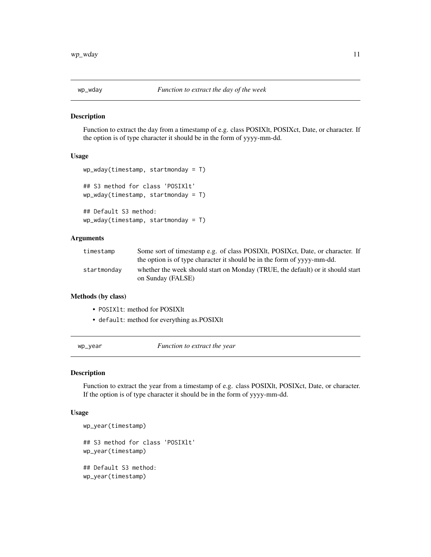<span id="page-10-0"></span>

Function to extract the day from a timestamp of e.g. class POSIXlt, POSIXct, Date, or character. If the option is of type character it should be in the form of yyyy-mm-dd.

#### Usage

```
wp_wday(timestamp, startmonday = T)
## S3 method for class 'POSIXlt'
wp_wday(timestamp, startmonday = T)
## Default S3 method:
wp_wday(timestamp, startmonday = T)
```
### Arguments

| timestamp   | Some sort of timestamp e.g. of class POSIXIt, POSIXct, Date, or character. If<br>the option is of type character it should be in the form of yvyy-mm-dd. |
|-------------|----------------------------------------------------------------------------------------------------------------------------------------------------------|
| startmonday | whether the week should start on Monday (TRUE, the default) or it should start<br>on Sunday (FALSE)                                                      |

#### Methods (by class)

- POSIXlt: method for POSIXlt
- default: method for everything as.POSIXlt

wp\_year *Function to extract the year*

#### Description

Function to extract the year from a timestamp of e.g. class POSIXlt, POSIXct, Date, or character. If the option is of type character it should be in the form of yyyy-mm-dd.

#### Usage

```
wp_year(timestamp)
## S3 method for class 'POSIXlt'
wp_year(timestamp)
## Default S3 method:
wp_year(timestamp)
```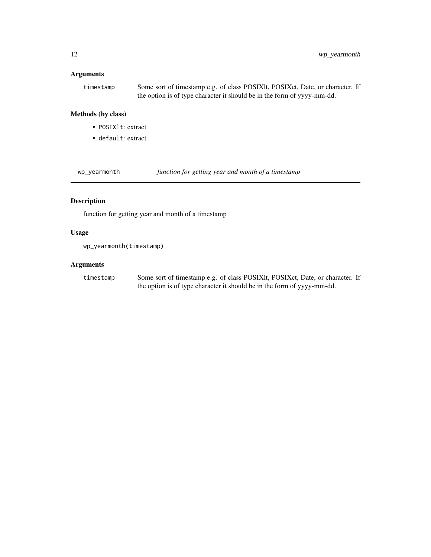# <span id="page-11-0"></span>Arguments

timestamp Some sort of timestamp e.g. of class POSIXIt, POSIXct, Date, or character. If the option is of type character it should be in the form of yyyy-mm-dd.

# Methods (by class)

- POSIXlt: extract
- default: extract

wp\_yearmonth *function for getting year and month of a timestamp*

# Description

function for getting year and month of a timestamp

# Usage

wp\_yearmonth(timestamp)

### Arguments

timestamp Some sort of timestamp e.g. of class POSIXlt, POSIXct, Date, or character. If the option is of type character it should be in the form of yyyy-mm-dd.